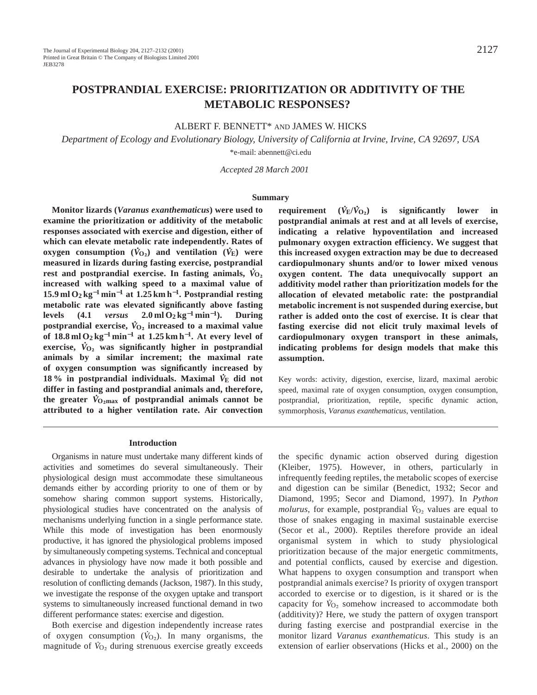# **POSTPRANDIAL EXERCISE: PRIORITIZATION OR ADDITIVITY OF THE METABOLIC RESPONSES?**

# ALBERT F. BENNETT\* AND JAMES W. HICKS

*Department of Ecology and Evolutionary Biology, University of California at Irvine, Irvine, CA 92697, USA* \*e-mail: abennett@ci.edu

 *Accepted 28 March 2001*

#### **Summary**

**Monitor lizards (***Varanus exanthematicus***) were used to examine the prioritization or additivity of the metabolic responses associated with exercise and digestion, either of** which can elevate metabolic rate independently. Rates of  $\mathbf{O}(V_{\mathbf{E}})$  consumption  $(\dot{V}_{\mathbf{O}_2})$  and ventilation  $(\dot{V}_{\mathbf{E}})$  were **measured in lizards during fasting exercise, postprandial .** rest and postprandial exercise. In fasting animals,  $\dot{V}_{O_2}$ **increased with walking speed to a maximal value of 15.9 ml O2 kg**−**<sup>1</sup> min**−**<sup>1</sup> at 1.25 km h**<sup>−</sup>**1. Postprandial resting metabolic rate was elevated significantly above fasting levels (4.1** *versus* **2.0 ml O2 kg**−**<sup>1</sup> min**<sup>−</sup>**1). During postprandial exercise,**  $\dot{V}_{O_2}$  increased to a maximal value **of 18.8 ml O2 kg**−**<sup>1</sup> min**−**<sup>1</sup> at 1.25 km h**<sup>−</sup>**1. At every level of . exercise,** *V* **<sup>O</sup>∑ was significantly higher in postprandial animals by a similar increment; the maximal rate of oxygen consumption was significantly increased by** 18 % in postprandial individuals. Maximal  $\dot{V}_{\rm E}$  did not **differ in fasting and postprandial animals and, therefore, .** the greater  $\dot{V}_{\text{O}_2\text{max}}$  of postprandial animals cannot be **attributed to a higher ventilation rate. Air convection**

# **requirement (***V* **. E/***V* **. <sup>O</sup>∑) is significantly lower in postprandial animals at rest and at all levels of exercise, indicating a relative hypoventilation and increased pulmonary oxygen extraction efficiency. We suggest that this increased oxygen extraction may be due to decreased cardiopulmonary shunts and/or to lower mixed venous oxygen content. The data unequivocally support an additivity model rather than prioritization models for the allocation of elevated metabolic rate: the postprandial metabolic increment is not suspended during exercise, but rather is added onto the cost of exercise. It is clear that fasting exercise did not elicit truly maximal levels of cardiopulmonary oxygen transport in these animals, indicating problems for design models that make this assumption.**

Key words: activity, digestion, exercise, lizard, maximal aerobic speed, maximal rate of oxygen consumption, oxygen consumption, postprandial, prioritization, reptile, specific dynamic action, symmorphosis, *Varanus exanthematicus*, ventilation.

#### **Introduction**

Organisms in nature must undertake many different kinds of activities and sometimes do several simultaneously. Their physiological design must accommodate these simultaneous demands either by according priority to one of them or by somehow sharing common support systems. Historically, physiological studies have concentrated on the analysis of mechanisms underlying function in a single performance state. While this mode of investigation has been enormously productive, it has ignored the physiological problems imposed by simultaneously competing systems. Technical and conceptual advances in physiology have now made it both possible and desirable to undertake the analysis of prioritization and resolution of conflicting demands (Jackson, 1987). In this study, we investigate the response of the oxygen uptake and transport systems to simultaneously increased functional demand in two different performance states: exercise and digestion.

Both exercise and digestion independently increase rates of oxygen consumption  $(V_{O_2})$ . In many organisms, the magnitude of  $\dot{V}_{O_2}$  during strenuous exercise greatly exceeds the specific dynamic action observed during digestion (Kleiber, 1975). However, in others, particularly in infrequently feeding reptiles, the metabolic scopes of exercise and digestion can be similar (Benedict, 1932; Secor and Diamond, 1995; Secor and Diamond, 1997). In *Python* . *molurus*, for example, postprandial  $\dot{V}_{O_2}$  values are equal to those of snakes engaging in maximal sustainable exercise (Secor et al., 2000). Reptiles therefore provide an ideal organismal system in which to study physiological prioritization because of the major energetic commitments, and potential conflicts, caused by exercise and digestion. What happens to oxygen consumption and transport when postprandial animals exercise? Is priority of oxygen transport accorded to exercise or to digestion, is it shared or is the . capacity for  $\dot{V}_{O_2}$  somehow increased to accommodate both (additivity)? Here, we study the pattern of oxygen transport during fasting exercise and postprandial exercise in the monitor lizard *Varanus exanthematicus*. This study is an extension of earlier observations (Hicks et al., 2000) on the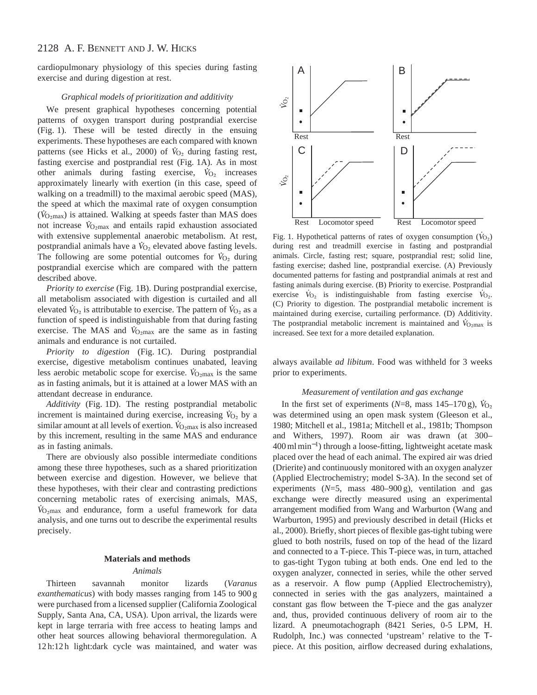# 2128 A. F. BENNETT AND J. W. HICKS

cardiopulmonary physiology of this species during fasting exercise and during digestion at rest.

# *Graphical models of prioritization and additivity*

We present graphical hypotheses concerning potential patterns of oxygen transport during postprandial exercise (Fig. 1). These will be tested directly in the ensuing experiments. These hypotheses are each compared with known patterns (see Hicks et al., 2000) of  $\dot{V}_{O_2}$  during fasting rest, fasting exercise and postprandial rest (Fig. 1A). As in most . other animals during fasting exercise,  $\dot{V}_{O_2}$  increases approximately linearly with exertion (in this case, speed of walking on a treadmill) to the maximal aerobic speed (MAS), the speed at which the maximal rate of oxygen consumption ( $V_{\text{O}_2\text{max}}$ ) is attained. Walking at speeds faster than MAS does not increase  $\dot{V}_{\text{O}_2\text{max}}$  and entails rapid exhaustion associated with extensive supplemental anaerobic metabolism. At rest, postprandial animals have a  $V_{\text{O}_2}$  elevated above fasting levels. The following are some potential outcomes for  $\dot{V}_{O_2}$  during postprandial exercise which are compared with the pattern described above.

*Priority to exercise* (Fig. 1B). During postprandial exercise, all metabolism associated with digestion is curtailed and all . . elevated  $\dot{V}_{\text{O}_2}$  is attributable to exercise. The pattern of  $\dot{V}_{\text{O}_2}$  as a function of speed is indistinguishable from that during fasting exercise. The MAS and  $\hat{V}_{\text{O}2\text{max}}$  are the same as in fasting animals and endurance is not curtailed.

*Priority to digestion* (Fig. 1C). During postprandial exercise, digestive metabolism continues unabated, leaving . less aerobic metabolic scope for exercise.  $\dot{V}_{\text{O}_2\text{max}}$  is the same as in fasting animals, but it is attained at a lower MAS with an attendant decrease in endurance.

*Additivity* (Fig. 1D). The resting postprandial metabolic . increment is maintained during exercise, increasing  $V_{O_2}$  by a similar amount at all levels of exertion. *V*<sub>O2max</sub> is also increased by this increment, resulting in the same MAS and endurance as in fasting animals.

There are obviously also possible intermediate conditions among these three hypotheses, such as a shared prioritization between exercise and digestion. However, we believe that these hypotheses, with their clear and contrasting predictions concerning metabolic rates of exercising animals, MAS, . *V* <sup>O</sup>∑max and endurance, form a useful framework for data analysis, and one turns out to describe the experimental results precisely.

### **Materials and methods**

#### *Animals*

Thirteen savannah monitor lizards (*Varanus exanthematicus*) with body masses ranging from 145 to 900 g were purchased from a licensed supplier (California Zoological Supply, Santa Ana, CA, USA). Upon arrival, the lizards were kept in large terraria with free access to heating lamps and other heat sources allowing behavioral thermoregulation. A 12 h:12 h light:dark cycle was maintained, and water was



Fig. 1. Hypothetical patterns of rates of oxygen consumption ( $\dot{V}_{O_2}$ ) during rest and treadmill exercise in fasting and postprandial animals. Circle, fasting rest; square, postprandial rest; solid line, fasting exercise; dashed line, postprandial exercise. (A) Previously documented patterns for fasting and postprandial animals at rest and fasting animals during exercise. (B) Priority to exercise. Postprandial . . exercise  $\dot{V}_{\text{O}_2}$  is indistinguishable from fasting exercise  $\dot{V}_{\text{O}_2}$ . (C) Priority to digestion. The postprandial metabolic increment is maintained during exercise, curtailing performance. (D) Additivity. . The postprandial metabolic increment is maintained and  $\dot{V}_{\text{O}_2\text{max}}$  is increased. See text for a more detailed explanation.

always available *ad libitum*. Food was withheld for 3 weeks prior to experiments.

## *Measurement of ventilation and gas exchange*

In the first set of experiments  $(N=8, \text{ mass } 145-170 \text{ g})$ ,  $\dot{V}_{O_2}$ was determined using an open mask system (Gleeson et al., 1980; Mitchell et al., 1981a; Mitchell et al., 1981b; Thompson and Withers, 1997). Room air was drawn (at 300– 400 ml min<sup>−</sup>1) through a loose-fitting, lightweight acetate mask placed over the head of each animal. The expired air was dried (Drierite) and continuously monitored with an oxygen analyzer (Applied Electrochemistry; model S-3A). In the second set of experiments  $(N=5$ , mass  $480-900 \text{ g}$ , ventilation and gas exchange were directly measured using an experimental arrangement modified from Wang and Warburton (Wang and Warburton, 1995) and previously described in detail (Hicks et al., 2000). Briefly, short pieces of flexible gas-tight tubing were glued to both nostrils, fused on top of the head of the lizard and connected to a T-piece. This T-piece was, in turn, attached to gas-tight Tygon tubing at both ends. One end led to the oxygen analyzer, connected in series, while the other served as a reservoir. A flow pump (Applied Electrochemistry), connected in series with the gas analyzers, maintained a constant gas flow between the T-piece and the gas analyzer and, thus, provided continuous delivery of room air to the lizard. A pneumotachograph (8421 Series, 0-5 LPM, H. Rudolph, Inc.) was connected 'upstream' relative to the Tpiece. At this position, airflow decreased during exhalations,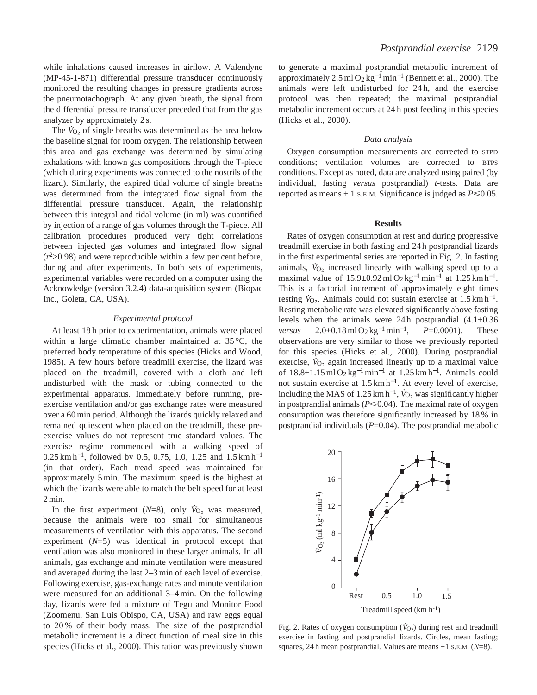while inhalations caused increases in airflow. A Valendyne (MP-45-1-871) differential pressure transducer continuously monitored the resulting changes in pressure gradients across the pneumotachograph. At any given breath, the signal from the differential pressure transducer preceded that from the gas analyzer by approximately 2 s.

The  $\dot{V}_{O_2}$  of single breaths was determined as the area below the baseline signal for room oxygen. The relationship between this area and gas exchange was determined by simulating exhalations with known gas compositions through the T-piece (which during experiments was connected to the nostrils of the lizard). Similarly, the expired tidal volume of single breaths was determined from the integrated flow signal from the differential pressure transducer. Again, the relationship between this integral and tidal volume (in ml) was quantified by injection of a range of gas volumes through the T-piece. All calibration procedures produced very tight correlations between injected gas volumes and integrated flow signal  $(r<sup>2</sup>>0.98)$  and were reproducible within a few per cent before, during and after experiments. In both sets of experiments, experimental variables were recorded on a computer using the Acknowledge (version 3.2.4) data-acquisition system (Biopac Inc., Goleta, CA, USA).

## *Experimental protocol*

At least 18 h prior to experimentation, animals were placed within a large climatic chamber maintained at 35 °C, the preferred body temperature of this species (Hicks and Wood, 1985). A few hours before treadmill exercise, the lizard was placed on the treadmill, covered with a cloth and left undisturbed with the mask or tubing connected to the experimental apparatus. Immediately before running, preexercise ventilation and/or gas exchange rates were measured over a 60 min period. Although the lizards quickly relaxed and remained quiescent when placed on the treadmill, these preexercise values do not represent true standard values. The exercise regime commenced with a walking speed of 0.25 km h<sup>-1</sup>, followed by 0.5, 0.75, 1.0, 1.25 and 1.5 km h<sup>-1</sup> (in that order). Each tread speed was maintained for approximately 5 min. The maximum speed is the highest at which the lizards were able to match the belt speed for at least 2 min.

In the first experiment ( $N=8$ ), only  $\dot{V}_{\text{O}_2}$  was measured, because the animals were too small for simultaneous measurements of ventilation with this apparatus. The second experiment (*N*=5) was identical in protocol except that ventilation was also monitored in these larger animals. In all animals, gas exchange and minute ventilation were measured and averaged during the last 2–3 min of each level of exercise. Following exercise, gas-exchange rates and minute ventilation were measured for an additional 3–4 min. On the following day, lizards were fed a mixture of Tegu and Monitor Food (Zoomenu, San Luis Obispo, CA, USA) and raw eggs equal to 20 % of their body mass. The size of the postprandial metabolic increment is a direct function of meal size in this species (Hicks et al., 2000). This ration was previously shown to generate a maximal postprandial metabolic increment of approximately 2.5 ml O<sub>2</sub> kg<sup>-1</sup> min<sup>-1</sup> (Bennett et al., 2000). The animals were left undisturbed for 24 h, and the exercise protocol was then repeated; the maximal postprandial metabolic increment occurs at 24 h post feeding in this species (Hicks et al., 2000).

### *Data analysis*

Oxygen consumption measurements are corrected to STPD conditions; ventilation volumes are corrected to BTPS conditions. Except as noted, data are analyzed using paired (by individual, fasting *versus* postprandial) *t*-tests. Data are reported as means  $\pm$  1 s.m. Significance is judged as  $P \le 0.05$ .

## **Results**

Rates of oxygen consumption at rest and during progressive treadmill exercise in both fasting and 24 h postprandial lizards in the first experimental series are reported in Fig. 2. In fasting . animals,  $\dot{V}_{O_2}$  increased linearly with walking speed up to a maximal value of  $15.9 \pm 0.92 \,\mathrm{m} \cdot 0.02 \,\mathrm{kg}^{-1} \cdot \mathrm{min}^{-1}$  at  $1.25 \,\mathrm{km} \cdot \mathrm{h}^{-1}$ . This is a factorial increment of approximately eight times resting  $V_{\text{O}_2}$ . Animals could not sustain exercise at 1.5 km h<sup>-1</sup>. Resting metabolic rate was elevated significantly above fasting levels when the animals were  $24 h$  postprandial  $(4.1 \pm 0.36)$ *versus* 2.0±0.18 ml O<sub>2</sub> kg<sup>-1</sup> min<sup>-1</sup>, *P*=0.0001). These observations are very similar to those we previously reported for this species (Hicks et al., 2000). During postprandial . exercise,  $\dot{V}_{O_2}$  again increased linearly up to a maximal value of  $18.8 \pm 1.15$  ml O<sub>2</sub> kg<sup>-1</sup>min<sup>-1</sup> at  $1.25$  km h<sup>-1</sup>. Animals could not sustain exercise at  $1.5 \text{ km h}^{-1}$ . At every level of exercise, including the MAS of 1.25 km h<sup>-1</sup>,  $\dot{V}_{O_2}$  was significantly higher in postprandial animals ( $P \le 0.04$ ). The maximal rate of oxygen consumption was therefore significantly increased by 18 % in postprandial individuals  $(P=0.04)$ . The postprandial metabolic



Fig. 2. Rates of oxygen consumption  $(\dot{V}_{O_2})$  during rest and treadmill exercise in fasting and postprandial lizards. Circles, mean fasting; squares, 24 h mean postprandial. Values are means ±1 S.E.M. (*N*=8).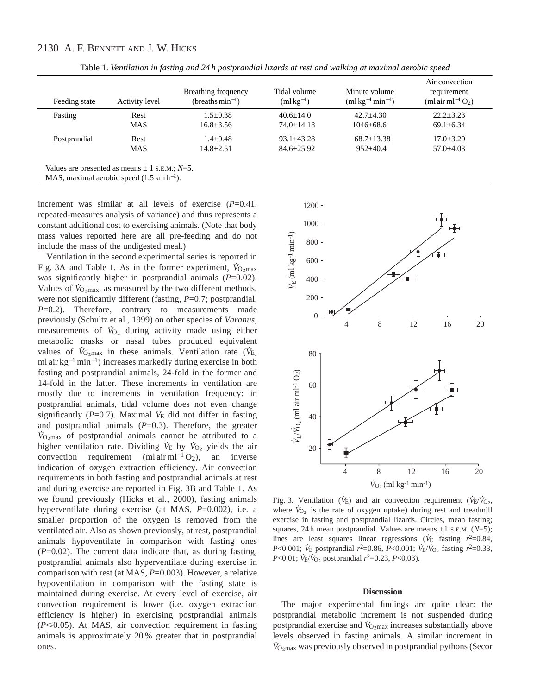# 2130 A. F. BENNETT AND J. W. HICKS

| Feeding state | Activity level | Breathing frequency<br>(breaths $min^{-1}$ ) | Tidal volume<br>$(mlkg^{-1})$ | Minute volume<br>$(m1 \text{ kg}^{-1} \text{min}^{-1})$ | Air convection<br>requirement<br>(ml air ml <sup>-1</sup> $O2$ ) |
|---------------|----------------|----------------------------------------------|-------------------------------|---------------------------------------------------------|------------------------------------------------------------------|
| Fasting       | Rest           | $1.5 + 0.38$                                 | $40.6 + 14.0$                 | $42.7 + 4.30$                                           | $22.2 + 3.23$                                                    |
|               | <b>MAS</b>     | $16.8 \pm 3.56$                              | $74.0 + 14.18$                | $1046 + 68.6$                                           | $69.1 \pm 6.34$                                                  |
| Postprandial  | Rest           | $1.4 \pm 0.48$                               | $93.1 \pm 43.28$              | $68.7 \pm 13.38$                                        | $17.0 \pm 3.20$                                                  |
|               | <b>MAS</b>     | $14.8 + 2.51$                                | $84.6 \pm 25.92$              | $952+40.4$                                              | $57.0 \pm 4.03$                                                  |

Table 1. *Ventilation in fasting and 24 h postprandial lizards at rest and walking at maximal aerobic speed* 

MAS, maximal aerobic speed (1.5 km h<sup>−</sup>1).

increment was similar at all levels of exercise (*P*=0.41, repeated-measures analysis of variance) and thus represents a constant additional cost to exercising animals. (Note that body mass values reported here are all pre-feeding and do not include the mass of the undigested meal.)

Ventilation in the second experimental series is reported in . Fig. 3A and Table 1. As in the former experiment,  $\dot{V}_{\text{O}_2\text{max}}$ was significantly higher in postprandial animals  $(P=0.02)$ . Values of  $\dot{V}_{\text{O}_2\text{max}}$ , as measured by the two different methods, were not significantly different (fasting, *P*=0.7; postprandial, *P*=0.2). Therefore, contrary to measurements made previously (Schultz et al., 1999) on other species of *Varanus*, . measurements of  $\dot{V}_{O_2}$  during activity made using either metabolic masks or nasal tubes produced equivalent values of  $\dot{V}_{\text{O}_2\text{max}}$  in these animals. Ventilation rate ( $\dot{V}_{\text{E}}$ , ml air kg−<sup>1</sup> min<sup>−</sup>1) increases markedly during exercise in both fasting and postprandial animals, 24-fold in the former and 14-fold in the latter. These increments in ventilation are mostly due to increments in ventilation frequency: in postprandial animals, tidal volume does not even change . significantly (*P*=0.7). Maximal *V* E did not differ in fasting and postprandial animals  $(P=0.3)$ . Therefore, the greater *V*<sub>O2</sub>max</sub> of postprandial animals cannot be attributed to a higher ventilation rate. Dividing  $\dot{V}_{E}$  by  $\dot{V}_{O_2}$  yields the air convection requirement (ml air ml<sup>-1</sup> O<sub>2</sub>), an inverse indication of oxygen extraction efficiency. Air convection requirements in both fasting and postprandial animals at rest and during exercise are reported in Fig. 3B and Table 1. As we found previously (Hicks et al., 2000), fasting animals hyperventilate during exercise (at MAS, *P*=0.002), i.e. a smaller proportion of the oxygen is removed from the ventilated air. Also as shown previously, at rest, postprandial animals hypoventilate in comparison with fasting ones  $(P=0.02)$ . The current data indicate that, as during fasting, postprandial animals also hyperventilate during exercise in comparison with rest (at MAS, *P*=0.003). However, a relative hypoventilation in comparison with the fasting state is maintained during exercise. At every level of exercise, air convection requirement is lower (i.e. oxygen extraction efficiency is higher) in exercising postprandial animals  $(P \le 0.05)$ . At MAS, air convection requirement in fasting animals is approximately 20 % greater that in postprandial ones.



Fig. 3. Ventilation ( $V_E$ ) and air convection requirement ( $V_E/V_{O_2}$ ) where  $\dot{V}_{O_2}$  is the rate of oxygen uptake) during rest and treadmill exercise in fasting and postprandial lizards. Circles, mean fasting; squares, 24 h mean postprandial. Values are means  $\pm 1$  s.e.m.  $(N=5)$ ; lines are least squares linear regressions ( $\dot{V}$  fasting  $r^2$ =0.84,  $P < 0.001$ ; *V*<sub>E</sub> postprandial  $r^2 = 0.86$ ,  $P < 0.001$ ; *V*<sub>E</sub>/*V*<sub>O<sub>2</sub> fasting  $r^2 = 0.33$ ,</sub> *P*<0.01;  $\dot{V}_{E}/\dot{V}_{O_2}$  postprandial  $r^2$ =0.23, *P*<0.03).

### **Discussion**

The major experimental findings are quite clear: the postprandial metabolic increment is not suspended during . **postprandial exercise and**  $\dot{V}_{\text{O}_2\text{max}}$  **increases substantially above** levels observed in fasting animals. A similar increment in . *V* <sup>O</sup>∑max was previously observed in postprandial pythons (Secor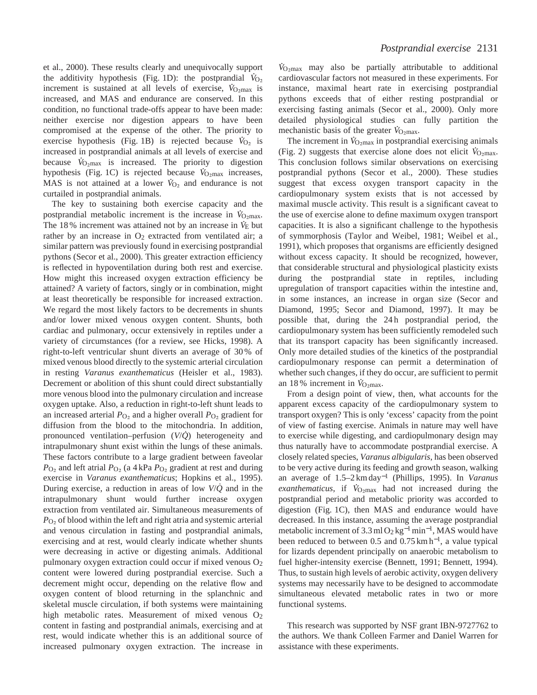et al., 2000). These results clearly and unequivocally support . the additivity hypothesis (Fig. 1D): the postprandial  $V_{\text{O}_2}$ increment is sustained at all levels of exercise,  $\dot{V}_{\text{O}_2\text{max}}$  is increased, and MAS and endurance are conserved. In this condition, no functional trade-offs appear to have been made: neither exercise nor digestion appears to have been compromised at the expense of the other. The priority to . exercise hypothesis (Fig. 1B) is rejected because  $V_{O_2}$  is increased in postprandial animals at all levels of exercise and . because  $V_{\text{O,max}}$  is increased. The priority to digestion hypothesis (Fig. 1C) is rejected because *V*<sub>O2max</sub> increases, MAS is not attained at a lower  $\dot{V}_{\text{O}_2}$  and endurance is not curtailed in postprandial animals.

The key to sustaining both exercise capacity and the postprandial metabolic increment is the increase in *V*<sub>O2max</sub>. The 18  $\%$  increment was attained not by an increase in  $\dot{V}_E$  but rather by an increase in  $O_2$  extracted from ventilated air; a similar pattern was previously found in exercising postprandial pythons (Secor et al., 2000). This greater extraction efficiency is reflected in hypoventilation during both rest and exercise. How might this increased oxygen extraction efficiency be attained? A variety of factors, singly or in combination, might at least theoretically be responsible for increased extraction. We regard the most likely factors to be decrements in shunts and/or lower mixed venous oxygen content. Shunts, both cardiac and pulmonary, occur extensively in reptiles under a variety of circumstances (for a review, see Hicks, 1998). A right-to-left ventricular shunt diverts an average of 30 % of mixed venous blood directly to the systemic arterial circulation in resting *Varanus exanthematicus* (Heisler et al., 1983). Decrement or abolition of this shunt could direct substantially more venous blood into the pulmonary circulation and increase oxygen uptake. Also, a reduction in right-to-left shunt leads to an increased arterial  $P<sub>O<sub>2</sub></sub>$  and a higher overall  $P<sub>O<sub>2</sub></sub>$  gradient for diffusion from the blood to the mitochondria. In addition, pronounced ventilation–perfusion (*V*/*Q*˙) heterogeneity and intrapulmonary shunt exist within the lungs of these animals. These factors contribute to a large gradient between faveolar  $P_{\text{O}_2}$  and left atrial  $P_{\text{O}_2}$  (a 4 kPa  $P_{\text{O}_2}$  gradient at rest and during exercise in *Varanus exanthematicus*; Hopkins et al., 1995). During exercise, a reduction in areas of low *V*/*Q*˙ and in the intrapulmonary shunt would further increase oxygen extraction from ventilated air. Simultaneous measurements of  $P_{\text{O}_2}$  of blood within the left and right atria and systemic arterial and venous circulation in fasting and postprandial animals, exercising and at rest, would clearly indicate whether shunts were decreasing in active or digesting animals. Additional pulmonary oxygen extraction could occur if mixed venous O2 content were lowered during postprandial exercise. Such a decrement might occur, depending on the relative flow and oxygen content of blood returning in the splanchnic and skeletal muscle circulation, if both systems were maintaining high metabolic rates. Measurement of mixed venous  $O_2$ content in fasting and postprandial animals, exercising and at rest, would indicate whether this is an additional source of increased pulmonary oxygen extraction. The increase in

 $\dot{V}_{\text{O}_2\text{max}}$  may also be partially attributable to additional cardiovascular factors not measured in these experiments. For instance, maximal heart rate in exercising postprandial pythons exceeds that of either resting postprandial or exercising fasting animals (Secor et al., 2000). Only more detailed physiological studies can fully partition the . mechanistic basis of the greater *V*<sub>O2max</sub>.

The increment in  $V_{\text{O}_2 \text{max}}$  in postprandial exercising animals (Fig. 2) suggests that exercise alone does not elicit  $\dot{V}_{\text{O}_2\text{max}}$ . This conclusion follows similar observations on exercising postprandial pythons (Secor et al., 2000). These studies suggest that excess oxygen transport capacity in the cardiopulmonary system exists that is not accessed by maximal muscle activity. This result is a significant caveat to the use of exercise alone to define maximum oxygen transport capacities. It is also a significant challenge to the hypothesis of symmorphosis (Taylor and Weibel, 1981; Weibel et al., 1991), which proposes that organisms are efficiently designed without excess capacity. It should be recognized, however, that considerable structural and physiological plasticity exists during the postprandial state in reptiles, including upregulation of transport capacities within the intestine and, in some instances, an increase in organ size (Secor and Diamond, 1995; Secor and Diamond, 1997). It may be possible that, during the 24 h postprandial period, the cardiopulmonary system has been sufficiently remodeled such that its transport capacity has been significantly increased. Only more detailed studies of the kinetics of the postprandial cardiopulmonary response can permit a determination of whether such changes, if they do occur, are sufficient to permit an 18% increment in  $\dot{V}_{\text{O}_2\text{max}}$ .

From a design point of view, then, what accounts for the apparent excess capacity of the cardiopulmonary system to transport oxygen? This is only 'excess' capacity from the point of view of fasting exercise. Animals in nature may well have to exercise while digesting, and cardiopulmonary design may thus naturally have to accommodate postprandial exercise. A closely related species, *Varanus albigularis*, has been observed to be very active during its feeding and growth season, walking an average of 1.5–2 km day−<sup>1</sup> (Phillips, 1995). In *Varanus* .  $exanthematicus$ , if  $\dot{V}_{\text{O}_2\text{max}}$  had not increased during the postprandial period and metabolic priority was accorded to digestion (Fig. 1C), then MAS and endurance would have decreased. In this instance, assuming the average postprandial metabolic increment of 3.3 ml O<sub>2</sub> kg<sup>-1</sup>min<sup>-1</sup>, MAS would have been reduced to between 0.5 and 0.75 km h<sup>-1</sup>, a value typical for lizards dependent principally on anaerobic metabolism to fuel higher-intensity exercise (Bennett, 1991; Bennett, 1994). Thus, to sustain high levels of aerobic activity, oxygen delivery systems may necessarily have to be designed to accommodate simultaneous elevated metabolic rates in two or more functional systems.

This research was supported by NSF grant IBN-9727762 to the authors. We thank Colleen Farmer and Daniel Warren for assistance with these experiments.